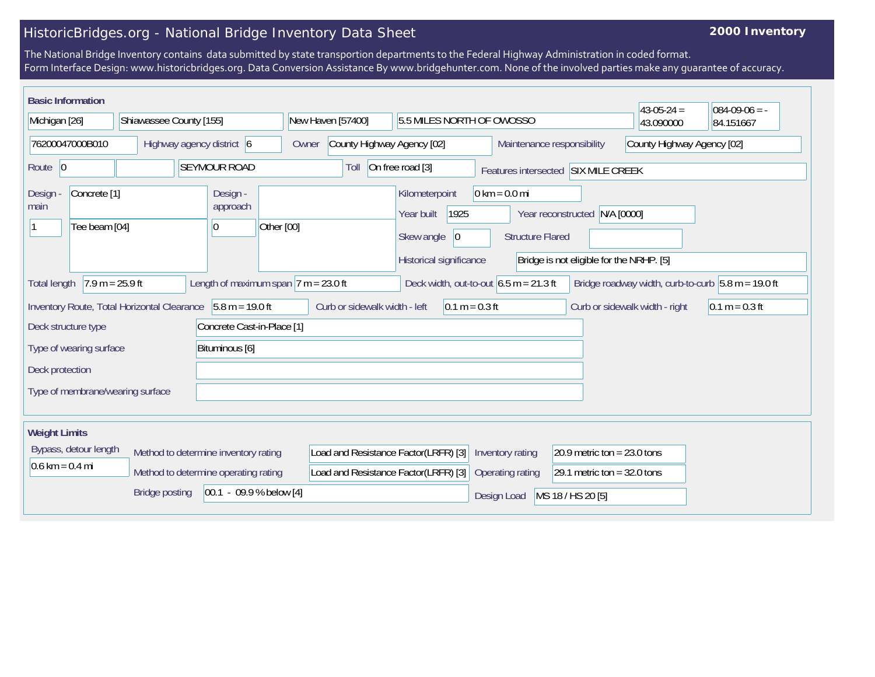## HistoricBridges.org - National Bridge Inventory Data Sheet

## **2000 Inventory**

The National Bridge Inventory contains data submitted by state transportion departments to the Federal Highway Administration in coded format. Form Interface Design: www.historicbridges.org. Data Conversion Assistance By www.bridgehunter.com. None of the involved parties make any guarantee of accuracy.

| <b>Basic Information</b><br>$43-05-24 =$<br>$084-09-06 = -$                                                                                                                                                                                                            |  |                                                                                                                                                          |                                      |                                                         |                               |                               |           |  |
|------------------------------------------------------------------------------------------------------------------------------------------------------------------------------------------------------------------------------------------------------------------------|--|----------------------------------------------------------------------------------------------------------------------------------------------------------|--------------------------------------|---------------------------------------------------------|-------------------------------|-------------------------------|-----------|--|
| Michigan [26]<br>Shiawassee County [155]                                                                                                                                                                                                                               |  | New Haven [57400]                                                                                                                                        | 5.5 MILES NORTH OF OWOSSO            |                                                         |                               | 43.090000                     | 84.151667 |  |
| 76200047000B010<br>Highway agency district 6                                                                                                                                                                                                                           |  | Owner                                                                                                                                                    | County Highway Agency [02]           |                                                         | Maintenance responsibility    | County Highway Agency [02]    |           |  |
| <b>SEYMOUR ROAD</b><br>Route 0                                                                                                                                                                                                                                         |  |                                                                                                                                                          | Toll                                 | On free road [3]<br>Features intersected SIX MILE CREEK |                               |                               |           |  |
| Concrete <sup>[1]</sup><br>Design -<br>Design -<br>approach<br>main<br>Other [00]<br>Tee beam [04]<br> 0                                                                                                                                                               |  | $0 \text{ km} = 0.0 \text{ mi}$<br>Kilometerpoint<br>1925<br>Year reconstructed N/A [0000]<br>Year built<br>Skew angle<br> 0 <br><b>Structure Flared</b> |                                      |                                                         |                               |                               |           |  |
| Historical significance<br>Bridge is not eligible for the NRHP. [5]<br>Length of maximum span $7 m = 23.0 ft$<br>$7.9 m = 25.9 ft$<br>Deck width, out-to-out $6.5 \text{ m} = 21.3 \text{ ft}$<br>Bridge roadway width, curb-to-curb $5.8$ m = 19.0 ft<br>Total length |  |                                                                                                                                                          |                                      |                                                         |                               |                               |           |  |
| $5.8 m = 19.0 ft$<br>Curb or sidewalk width - left<br>Inventory Route, Total Horizontal Clearance<br>$0.1 m = 0.3 ft$<br>Curb or sidewalk width - right                                                                                                                |  |                                                                                                                                                          |                                      |                                                         | $0.1 m = 0.3 ft$              |                               |           |  |
| Concrete Cast-in-Place [1]<br>Deck structure type                                                                                                                                                                                                                      |  |                                                                                                                                                          |                                      |                                                         |                               |                               |           |  |
| Type of wearing surface<br>Bituminous [6]                                                                                                                                                                                                                              |  |                                                                                                                                                          |                                      |                                                         |                               |                               |           |  |
| Deck protection                                                                                                                                                                                                                                                        |  |                                                                                                                                                          |                                      |                                                         |                               |                               |           |  |
| Type of membrane/wearing surface                                                                                                                                                                                                                                       |  |                                                                                                                                                          |                                      |                                                         |                               |                               |           |  |
| <b>Weight Limits</b>                                                                                                                                                                                                                                                   |  |                                                                                                                                                          |                                      |                                                         |                               |                               |           |  |
| Bypass, detour length<br>Method to determine inventory rating                                                                                                                                                                                                          |  | Load and Resistance Factor(LRFR) [3]                                                                                                                     |                                      | Inventory rating                                        | 20.9 metric ton = $23.0$ tons |                               |           |  |
| $0.6 \text{ km} = 0.4 \text{ mi}$<br>Method to determine operating rating                                                                                                                                                                                              |  |                                                                                                                                                          | Load and Resistance Factor(LRFR) [3] |                                                         | Operating rating              | 29.1 metric ton = $32.0$ tons |           |  |
| $[00.1 - 09.9 % below [4]$<br><b>Bridge posting</b>                                                                                                                                                                                                                    |  |                                                                                                                                                          |                                      |                                                         | Design Load                   | MS 18 / HS 20 [5]             |           |  |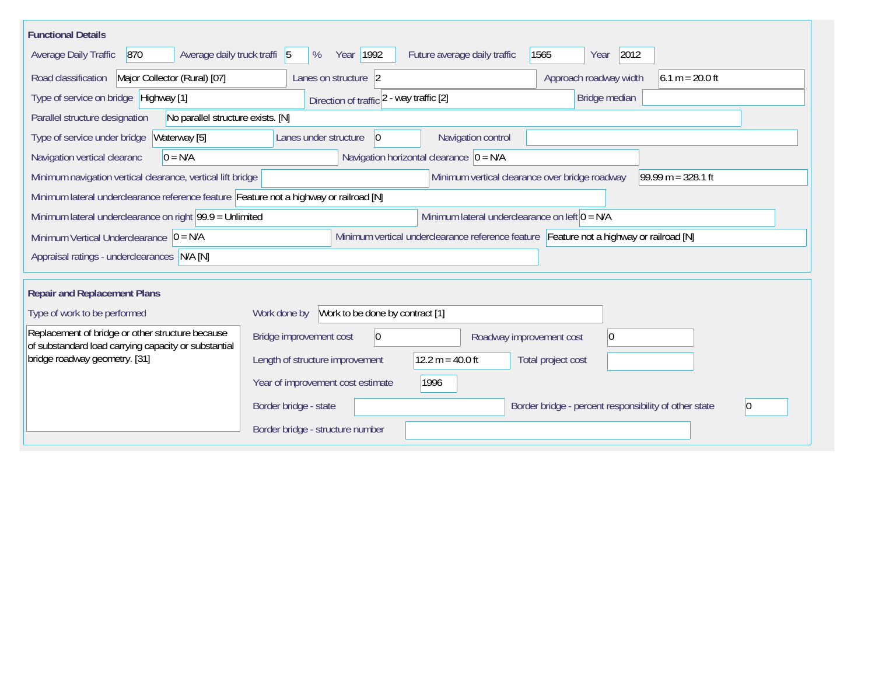| <b>Functional Details</b>                                                                                                             |                                                                                                                |                              |                                                             |  |  |  |
|---------------------------------------------------------------------------------------------------------------------------------------|----------------------------------------------------------------------------------------------------------------|------------------------------|-------------------------------------------------------------|--|--|--|
| 870<br>Average daily truck traffi 5<br>Average Daily Traffic                                                                          | Year 1992<br>%                                                                                                 | Future average daily traffic | 1565<br>2012<br>Year                                        |  |  |  |
| Road classification<br>Major Collector (Rural) [07]                                                                                   | Lanes on structure 2                                                                                           |                              | Approach roadway width<br>$6.1 m = 20.0 ft$                 |  |  |  |
| Type of service on bridge Highway [1]                                                                                                 | Direction of traffic 2 - way traffic [2]                                                                       |                              | Bridge median                                               |  |  |  |
| No parallel structure exists. [N]<br>Parallel structure designation                                                                   |                                                                                                                |                              |                                                             |  |  |  |
| Type of service under bridge<br>Waterway [5]                                                                                          | Navigation control<br>Lanes under structure<br>$ 0\rangle$                                                     |                              |                                                             |  |  |  |
| Navigation horizontal clearance $ 0 = N/A$<br>Navigation vertical clearanc<br>$0 = N/A$                                               |                                                                                                                |                              |                                                             |  |  |  |
| $99.99 m = 328.1 ft$<br>Minimum navigation vertical clearance, vertical lift bridge<br>Minimum vertical clearance over bridge roadway |                                                                                                                |                              |                                                             |  |  |  |
| Minimum lateral underclearance reference feature Feature not a highway or railroad [N]                                                |                                                                                                                |                              |                                                             |  |  |  |
|                                                                                                                                       | Minimum lateral underclearance on right $99.9 =$ Unlimited<br>Minimum lateral underclearance on left $0 = N/A$ |                              |                                                             |  |  |  |
| Minimum vertical underclearance reference feature Feature not a highway or railroad [N]<br>Minimum Vertical Underclearance $ 0 = N/A$ |                                                                                                                |                              |                                                             |  |  |  |
| Appraisal ratings - underclearances N/A [N]                                                                                           |                                                                                                                |                              |                                                             |  |  |  |
|                                                                                                                                       |                                                                                                                |                              |                                                             |  |  |  |
| <b>Repair and Replacement Plans</b>                                                                                                   |                                                                                                                |                              |                                                             |  |  |  |
| Type of work to be performed                                                                                                          | Work to be done by contract [1]<br>Work done by                                                                |                              |                                                             |  |  |  |
| Replacement of bridge or other structure because<br>of substandard load carrying capacity or substantial                              | 0 <br>Bridge improvement cost                                                                                  | Roadway improvement cost     | $ 0\rangle$                                                 |  |  |  |
| bridge roadway geometry. [31]                                                                                                         | Length of structure improvement                                                                                | 12.2 $m = 40.0$ ft           | Total project cost                                          |  |  |  |
|                                                                                                                                       | Year of improvement cost estimate<br>1996                                                                      |                              |                                                             |  |  |  |
|                                                                                                                                       | Border bridge - state                                                                                          |                              | Border bridge - percent responsibility of other state<br>l0 |  |  |  |
|                                                                                                                                       | Border bridge - structure number                                                                               |                              |                                                             |  |  |  |